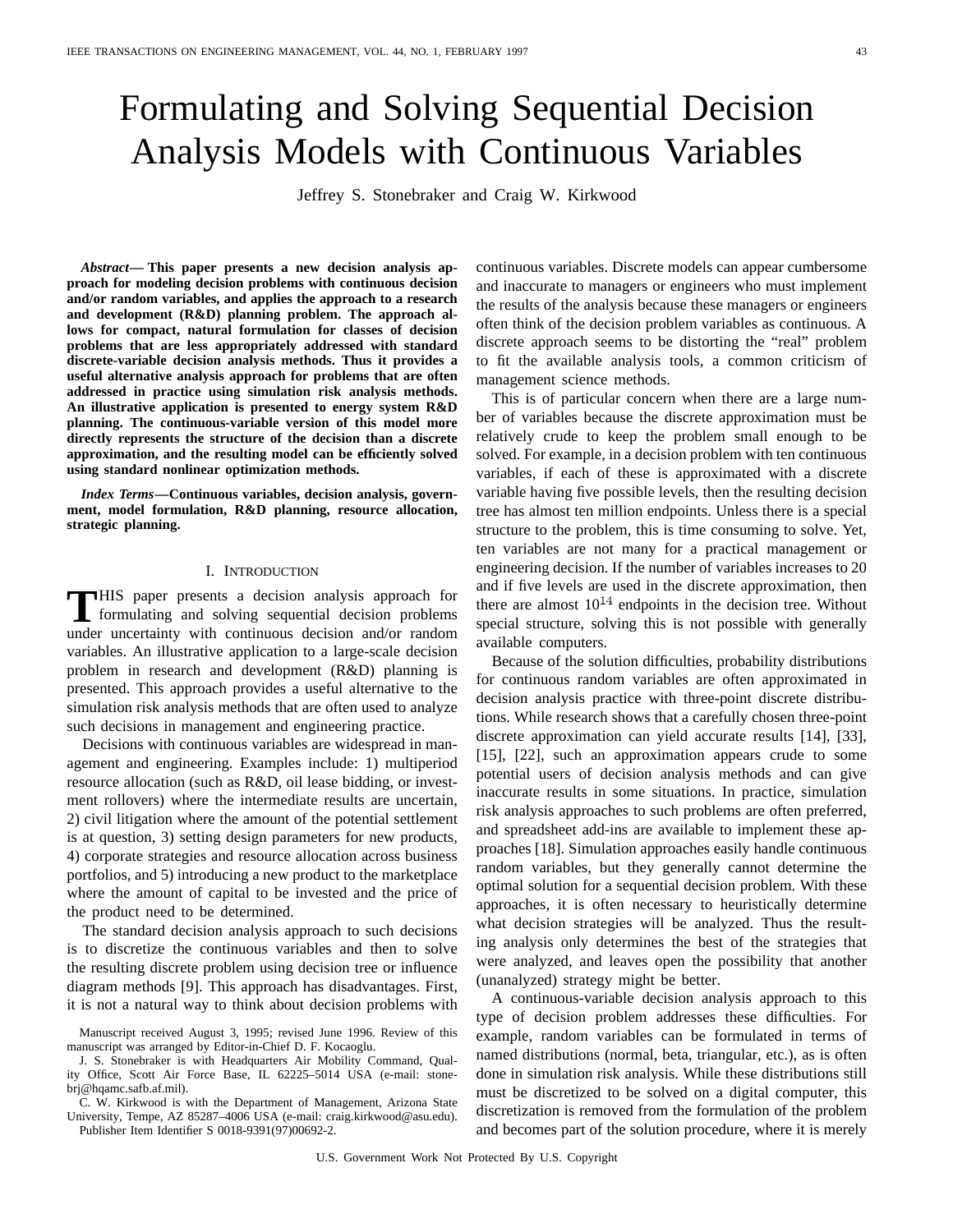# Formulating and Solving Sequential Decision Analysis Models with Continuous Variables

Jeffrey S. Stonebraker and Craig W. Kirkwood

*Abstract—* **This paper presents a new decision analysis approach for modeling decision problems with continuous decision and/or random variables, and applies the approach to a research and development (R&D) planning problem. The approach allows for compact, natural formulation for classes of decision problems that are less appropriately addressed with standard discrete-variable decision analysis methods. Thus it provides a useful alternative analysis approach for problems that are often addressed in practice using simulation risk analysis methods. An illustrative application is presented to energy system R&D planning. The continuous-variable version of this model more directly represents the structure of the decision than a discrete approximation, and the resulting model can be efficiently solved using standard nonlinear optimization methods.**

*Index Terms—***Continuous variables, decision analysis, government, model formulation, R&D planning, resource allocation, strategic planning.**

## I. INTRODUCTION

**T**HIS paper presents a decision analysis approach for formulating and solving sequential decision problems under uncertainty with continuous decision and/or random variables. An illustrative application to a large-scale decision problem in research and development (R&D) planning is presented. This approach provides a useful alternative to the simulation risk analysis methods that are often used to analyze such decisions in management and engineering practice.

Decisions with continuous variables are widespread in management and engineering. Examples include: 1) multiperiod resource allocation (such as R&D, oil lease bidding, or investment rollovers) where the intermediate results are uncertain, 2) civil litigation where the amount of the potential settlement is at question, 3) setting design parameters for new products, 4) corporate strategies and resource allocation across business portfolios, and 5) introducing a new product to the marketplace where the amount of capital to be invested and the price of the product need to be determined.

The standard decision analysis approach to such decisions is to discretize the continuous variables and then to solve the resulting discrete problem using decision tree or influence diagram methods [9]. This approach has disadvantages. First, it is not a natural way to think about decision problems with continuous variables. Discrete models can appear cumbersome and inaccurate to managers or engineers who must implement the results of the analysis because these managers or engineers often think of the decision problem variables as continuous. A discrete approach seems to be distorting the "real" problem to fit the available analysis tools, a common criticism of management science methods.

This is of particular concern when there are a large number of variables because the discrete approximation must be relatively crude to keep the problem small enough to be solved. For example, in a decision problem with ten continuous variables, if each of these is approximated with a discrete variable having five possible levels, then the resulting decision tree has almost ten million endpoints. Unless there is a special structure to the problem, this is time consuming to solve. Yet, ten variables are not many for a practical management or engineering decision. If the number of variables increases to 20 and if five levels are used in the discrete approximation, then there are almost  $10^{14}$  endpoints in the decision tree. Without special structure, solving this is not possible with generally available computers.

Because of the solution difficulties, probability distributions for continuous random variables are often approximated in decision analysis practice with three-point discrete distributions. While research shows that a carefully chosen three-point discrete approximation can yield accurate results [14], [33], [15], [22], such an approximation appears crude to some potential users of decision analysis methods and can give inaccurate results in some situations. In practice, simulation risk analysis approaches to such problems are often preferred, and spreadsheet add-ins are available to implement these approaches [18]. Simulation approaches easily handle continuous random variables, but they generally cannot determine the optimal solution for a sequential decision problem. With these approaches, it is often necessary to heuristically determine what decision strategies will be analyzed. Thus the resulting analysis only determines the best of the strategies that were analyzed, and leaves open the possibility that another (unanalyzed) strategy might be better.

A continuous-variable decision analysis approach to this type of decision problem addresses these difficulties. For example, random variables can be formulated in terms of named distributions (normal, beta, triangular, etc.), as is often done in simulation risk analysis. While these distributions still must be discretized to be solved on a digital computer, this discretization is removed from the formulation of the problem and becomes part of the solution procedure, where it is merely

Manuscript received August 3, 1995; revised June 1996. Review of this manuscript was arranged by Editor-in-Chief D. F. Kocaoglu.

J. S. Stonebraker is with Headquarters Air Mobility Command, Quality Office, Scott Air Force Base, IL 62225–5014 USA (e-mail: stonebrj@hqamc.safb.af.mil).

C. W. Kirkwood is with the Department of Management, Arizona State University, Tempe, AZ 85287–4006 USA (e-mail: craig.kirkwood@asu.edu). Publisher Item Identifier S 0018-9391(97)00692-2.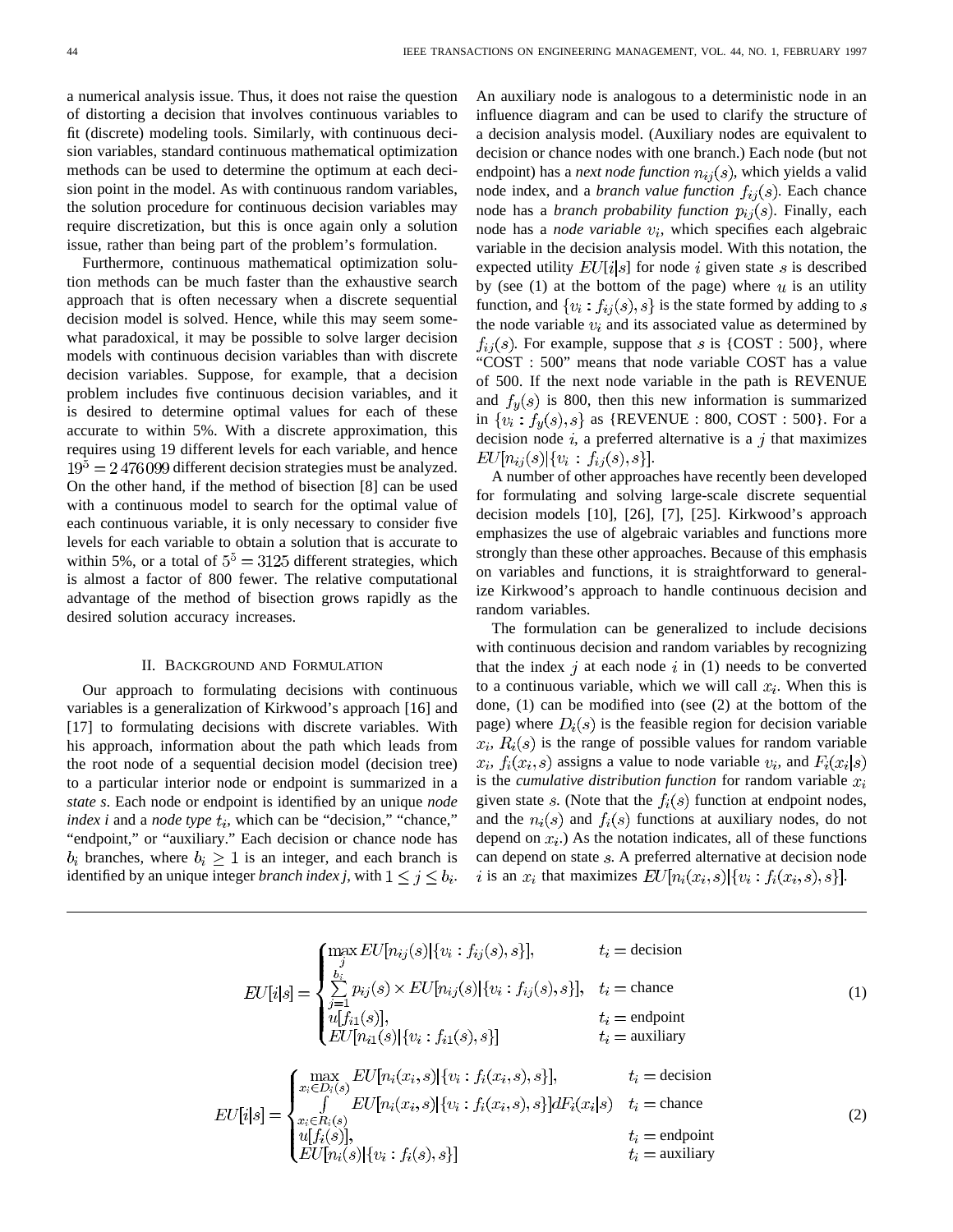a numerical analysis issue. Thus, it does not raise the question of distorting a decision that involves continuous variables to fit (discrete) modeling tools. Similarly, with continuous decision variables, standard continuous mathematical optimization methods can be used to determine the optimum at each decision point in the model. As with continuous random variables, the solution procedure for continuous decision variables may require discretization, but this is once again only a solution issue, rather than being part of the problem's formulation.

Furthermore, continuous mathematical optimization solution methods can be much faster than the exhaustive search approach that is often necessary when a discrete sequential decision model is solved. Hence, while this may seem somewhat paradoxical, it may be possible to solve larger decision models with continuous decision variables than with discrete decision variables. Suppose, for example, that a decision problem includes five continuous decision variables, and it is desired to determine optimal values for each of these accurate to within 5%. With a discrete approximation, this requires using 19 different levels for each variable, and hence  $19<sup>5</sup> = 2476099$  different decision strategies must be analyzed. On the other hand, if the method of bisection [8] can be used with a continuous model to search for the optimal value of each continuous variable, it is only necessary to consider five levels for each variable to obtain a solution that is accurate to within 5%, or a total of  $5^5 = 3125$  different strategies, which is almost a factor of 800 fewer. The relative computational advantage of the method of bisection grows rapidly as the desired solution accuracy increases.

### II. BACKGROUND AND FORMULATION

Our approach to formulating decisions with continuous variables is a generalization of Kirkwood's approach [16] and [17] to formulating decisions with discrete variables. With his approach, information about the path which leads from the root node of a sequential decision model (decision tree) to a particular interior node or endpoint is summarized in a *state s*. Each node or endpoint is identified by an unique *node index i* and a *node type*  $t_i$ , which can be "decision," "chance," "endpoint," or "auxiliary." Each decision or chance node has  $b_i$  branches, where  $b_i \geq 1$  is an integer, and each branch is identified by an unique integer *branch index j*, with  $1 \le j \le b_i$ . An auxiliary node is analogous to a deterministic node in an influence diagram and can be used to clarify the structure of a decision analysis model. (Auxiliary nodes are equivalent to decision or chance nodes with one branch.) Each node (but not endpoint) has a *next node function*  $n_{ij}(s)$ , which yields a valid node index, and a *branch value function*  $f_{ij}(s)$ . Each chance node has a *branch probability function*  $p_{ij}(s)$ . Finally, each node has a *node variable*  $v_i$ , which specifies each algebraic variable in the decision analysis model. With this notation, the expected utility  $EU[i]_S$  for node i given state s is described by (see (1) at the bottom of the page) where  $u$  is an utility function, and  $\{v_i : f_{ij}(s), s\}$  is the state formed by adding to s the node variable  $v_i$  and its associated value as determined by  $f_{ij}(s)$ . For example, suppose that s is {COST : 500}, where "COST : 500" means that node variable COST has a value of 500. If the next node variable in the path is REVENUE and  $f_u(s)$  is 800, then this new information is summarized in  $\{v_i : f_u(s), s\}$  as {REVENUE : 800, COST : 500}. For a decision node  $i$ , a preferred alternative is a j that maximizes  $EU[n_{ij}(s)|{v_i : f_{ij}(s), s}].$ 

A number of other approaches have recently been developed for formulating and solving large-scale discrete sequential decision models [10], [26], [7], [25]. Kirkwood's approach emphasizes the use of algebraic variables and functions more strongly than these other approaches. Because of this emphasis on variables and functions, it is straightforward to generalize Kirkwood's approach to handle continuous decision and random variables.

The formulation can be generalized to include decisions with continuous decision and random variables by recognizing that the index  $j$  at each node  $i$  in (1) needs to be converted to a continuous variable, which we will call  $x_i$ . When this is done, (1) can be modified into (see (2) at the bottom of the page) where  $D_i(s)$  is the feasible region for decision variable  $x_i$ ,  $R_i(s)$  is the range of possible values for random variable  $x_i$ ,  $f_i(x_i, s)$  assigns a value to node variable  $v_i$ , and  $F_i(x_i|s)$ is the *cumulative distribution function* for random variable  $x_i$ given state s. (Note that the  $f_i(s)$  function at endpoint nodes, and the  $n_i(s)$  and  $f_i(s)$  functions at auxiliary nodes, do not depend on  $x_i$ .) As the notation indicates, all of these functions can depend on state  $s$ . A preferred alternative at decision node i is an  $x_i$  that maximizes  $EU[n_i(x_i, s) | {v_i : f_i(x_i, s), s}].$ 

decision chance endpoint auxiliary (1) decision chance endpoint auxiliary (2)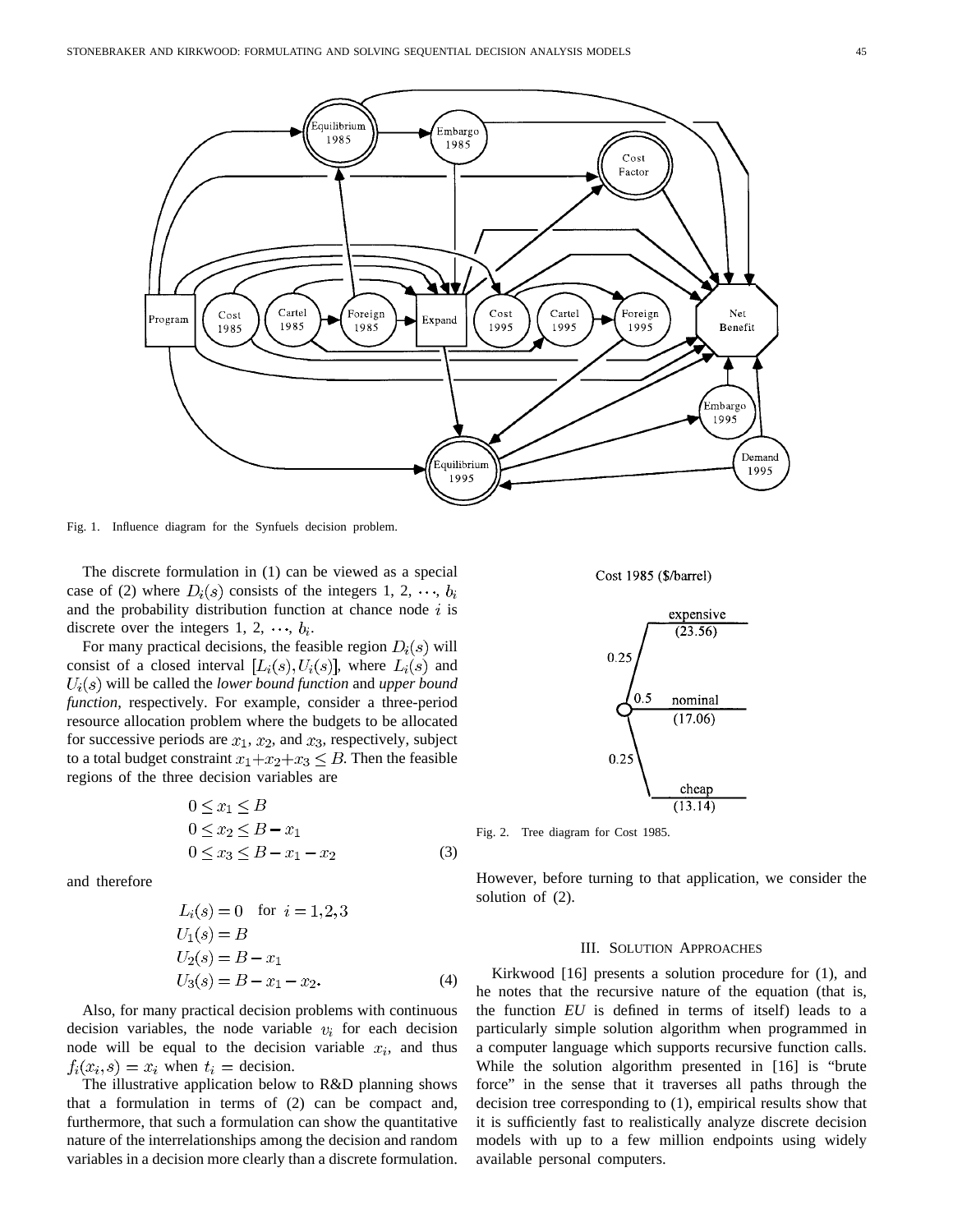

Fig. 1. Influence diagram for the Synfuels decision problem.

The discrete formulation in (1) can be viewed as a special case of (2) where  $D_i(s)$  consists of the integers 1, 2,  $\cdots$ ,  $b_i$ and the probability distribution function at chance node  $i$  is discrete over the integers 1, 2,  $\ldots$ ,  $b_i$ .

For many practical decisions, the feasible region  $D_i(s)$  will consist of a closed interval  $[L_i(s), U_i(s)]$ , where  $L_i(s)$  and  $U_i(s)$  will be called the *lower bound function* and *upper bound function*, respectively. For example, consider a three-period resource allocation problem where the budgets to be allocated for successive periods are  $x_1$ ,  $x_2$ , and  $x_3$ , respectively, subject to a total budget constraint  $x_1+x_2+x_3 \leq B$ . Then the feasible regions of the three decision variables are

$$
0 \le x_1 \le B
$$
  
\n
$$
0 \le x_2 \le B - x_1
$$
  
\n
$$
0 \le x_3 \le B - x_1 - x_2
$$
 (3)

and therefore

$$
L_i(s) = 0 \text{ for } i = 1, 2, 3
$$
  
\n
$$
U_1(s) = B
$$
  
\n
$$
U_2(s) = B - x_1
$$
  
\n
$$
U_3(s) = B - x_1 - x_2.
$$
\n(4)

Also, for many practical decision problems with continuous decision variables, the node variable  $v_i$  for each decision node will be equal to the decision variable  $x_i$ , and thus  $f_i(x_i, s) = x_i$  when  $t_i$  = decision.

The illustrative application below to R&D planning shows that a formulation in terms of (2) can be compact and, furthermore, that such a formulation can show the quantitative nature of the interrelationships among the decision and random variables in a decision more clearly than a discrete formulation.

Cost 1985 (\$/barrel)



Fig. 2. Tree diagram for Cost 1985.

However, before turning to that application, we consider the solution of (2).

## III. SOLUTION APPROACHES

Kirkwood [16] presents a solution procedure for (1), and he notes that the recursive nature of the equation (that is, the function *EU* is defined in terms of itself) leads to a particularly simple solution algorithm when programmed in a computer language which supports recursive function calls. While the solution algorithm presented in [16] is "brute force" in the sense that it traverses all paths through the decision tree corresponding to (1), empirical results show that it is sufficiently fast to realistically analyze discrete decision models with up to a few million endpoints using widely available personal computers.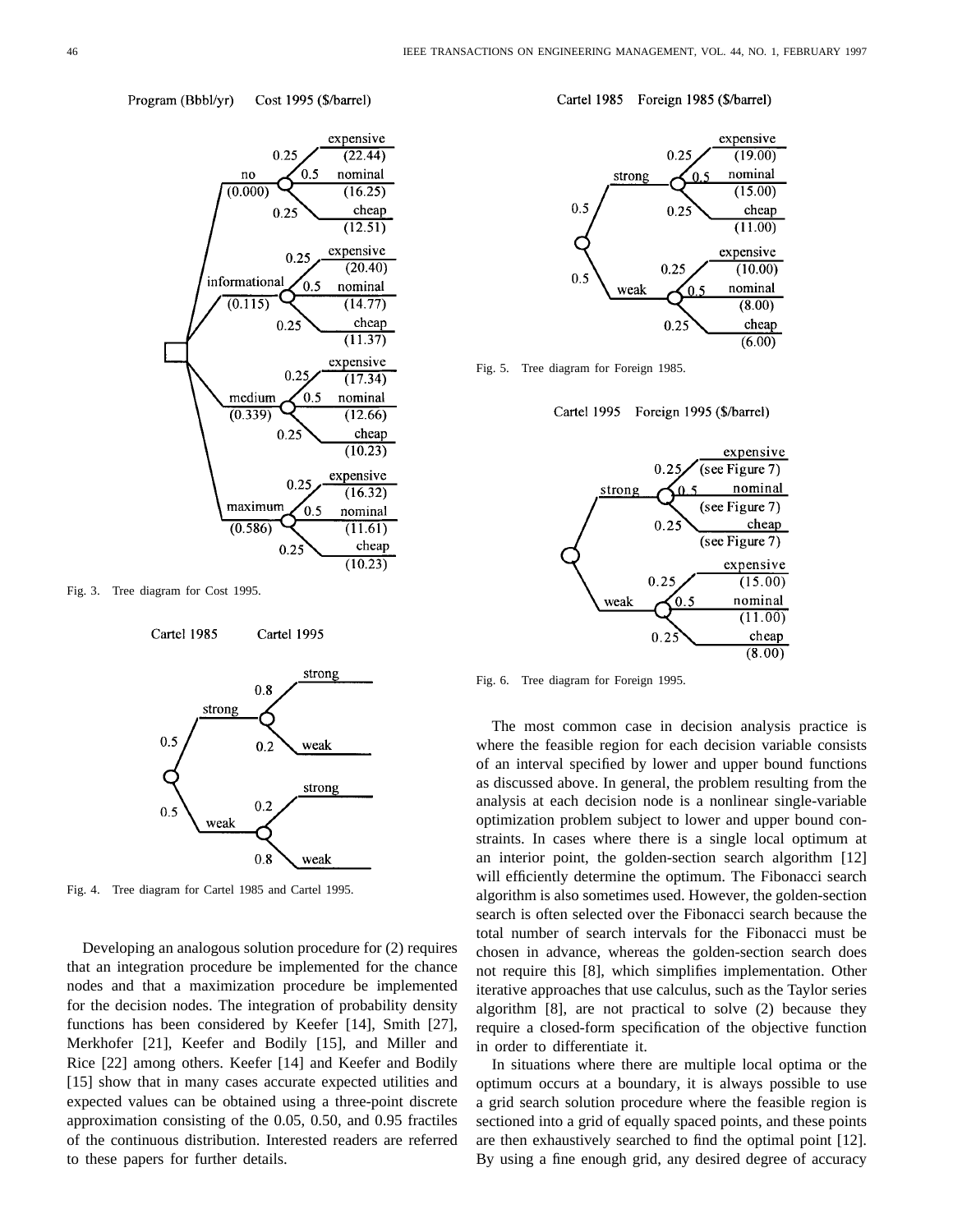Cartel 1985 Foreign 1985 (\$/barrel)



Fig. 5. Tree diagram for Foreign 1985.

Cartel 1995 Foreign 1995 (\$/barrel)



Fig. 6. Tree diagram for Foreign 1995.

The most common case in decision analysis practice is where the feasible region for each decision variable consists of an interval specified by lower and upper bound functions as discussed above. In general, the problem resulting from the analysis at each decision node is a nonlinear single-variable optimization problem subject to lower and upper bound constraints. In cases where there is a single local optimum at an interior point, the golden-section search algorithm [12] will efficiently determine the optimum. The Fibonacci search algorithm is also sometimes used. However, the golden-section search is often selected over the Fibonacci search because the total number of search intervals for the Fibonacci must be chosen in advance, whereas the golden-section search does not require this [8], which simplifies implementation. Other iterative approaches that use calculus, such as the Taylor series algorithm [8], are not practical to solve (2) because they require a closed-form specification of the objective function in order to differentiate it.

In situations where there are multiple local optima or the optimum occurs at a boundary, it is always possible to use a grid search solution procedure where the feasible region is sectioned into a grid of equally spaced points, and these points are then exhaustively searched to find the optimal point [12]. By using a fine enough grid, any desired degree of accuracy

Program (Bbbl/yr) Cost 1995 (\$/barrel)



Fig. 3. Tree diagram for Cost 1995.

Cartel 1985 Cartel 1995



Fig. 4. Tree diagram for Cartel 1985 and Cartel 1995.

Developing an analogous solution procedure for (2) requires that an integration procedure be implemented for the chance nodes and that a maximization procedure be implemented for the decision nodes. The integration of probability density functions has been considered by Keefer [14], Smith [27], Merkhofer [21], Keefer and Bodily [15], and Miller and Rice [22] among others. Keefer [14] and Keefer and Bodily [15] show that in many cases accurate expected utilities and expected values can be obtained using a three-point discrete approximation consisting of the 0.05, 0.50, and 0.95 fractiles of the continuous distribution. Interested readers are referred to these papers for further details.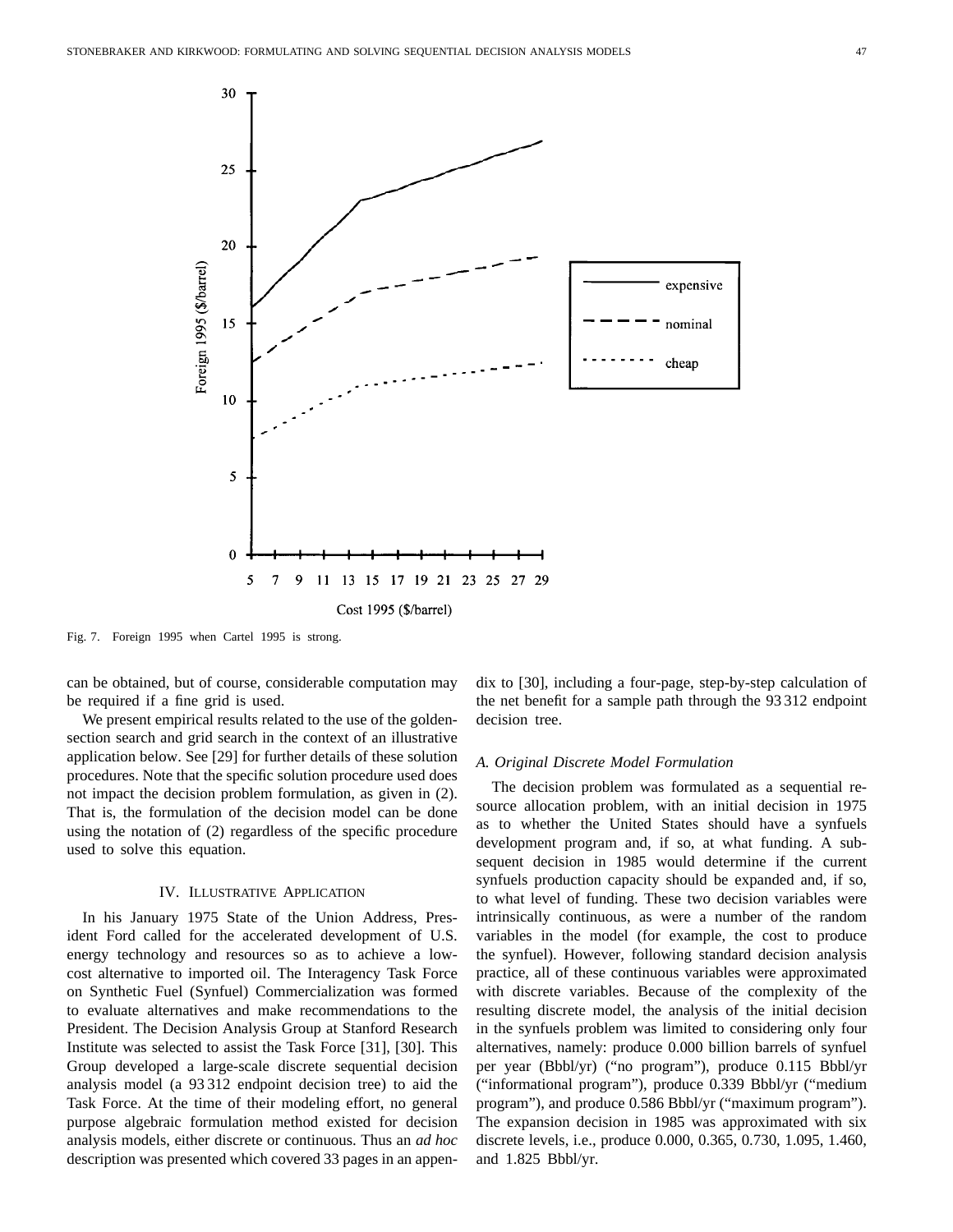

Fig. 7. Foreign 1995 when Cartel 1995 is strong.

can be obtained, but of course, considerable computation may be required if a fine grid is used.

We present empirical results related to the use of the goldensection search and grid search in the context of an illustrative application below. See [29] for further details of these solution procedures. Note that the specific solution procedure used does not impact the decision problem formulation, as given in (2). That is, the formulation of the decision model can be done using the notation of (2) regardless of the specific procedure used to solve this equation.

## IV. ILLUSTRATIVE APPLICATION

In his January 1975 State of the Union Address, President Ford called for the accelerated development of U.S. energy technology and resources so as to achieve a lowcost alternative to imported oil. The Interagency Task Force on Synthetic Fuel (Synfuel) Commercialization was formed to evaluate alternatives and make recommendations to the President. The Decision Analysis Group at Stanford Research Institute was selected to assist the Task Force [31], [30]. This Group developed a large-scale discrete sequential decision analysis model (a 93 312 endpoint decision tree) to aid the Task Force. At the time of their modeling effort, no general purpose algebraic formulation method existed for decision analysis models, either discrete or continuous. Thus an *ad hoc* description was presented which covered 33 pages in an appendix to [30], including a four-page, step-by-step calculation of the net benefit for a sample path through the 93 312 endpoint decision tree.

#### *A. Original Discrete Model Formulation*

The decision problem was formulated as a sequential resource allocation problem, with an initial decision in 1975 as to whether the United States should have a synfuels development program and, if so, at what funding. A subsequent decision in 1985 would determine if the current synfuels production capacity should be expanded and, if so, to what level of funding. These two decision variables were intrinsically continuous, as were a number of the random variables in the model (for example, the cost to produce the synfuel). However, following standard decision analysis practice, all of these continuous variables were approximated with discrete variables. Because of the complexity of the resulting discrete model, the analysis of the initial decision in the synfuels problem was limited to considering only four alternatives, namely: produce 0.000 billion barrels of synfuel per year (Bbbl/yr) ("no program"), produce 0.115 Bbbl/yr ("informational program"), produce 0.339 Bbbl/yr ("medium program"), and produce 0.586 Bbbl/yr ("maximum program"). The expansion decision in 1985 was approximated with six discrete levels, i.e., produce 0.000, 0.365, 0.730, 1.095, 1.460, and 1.825 Bbbl/yr.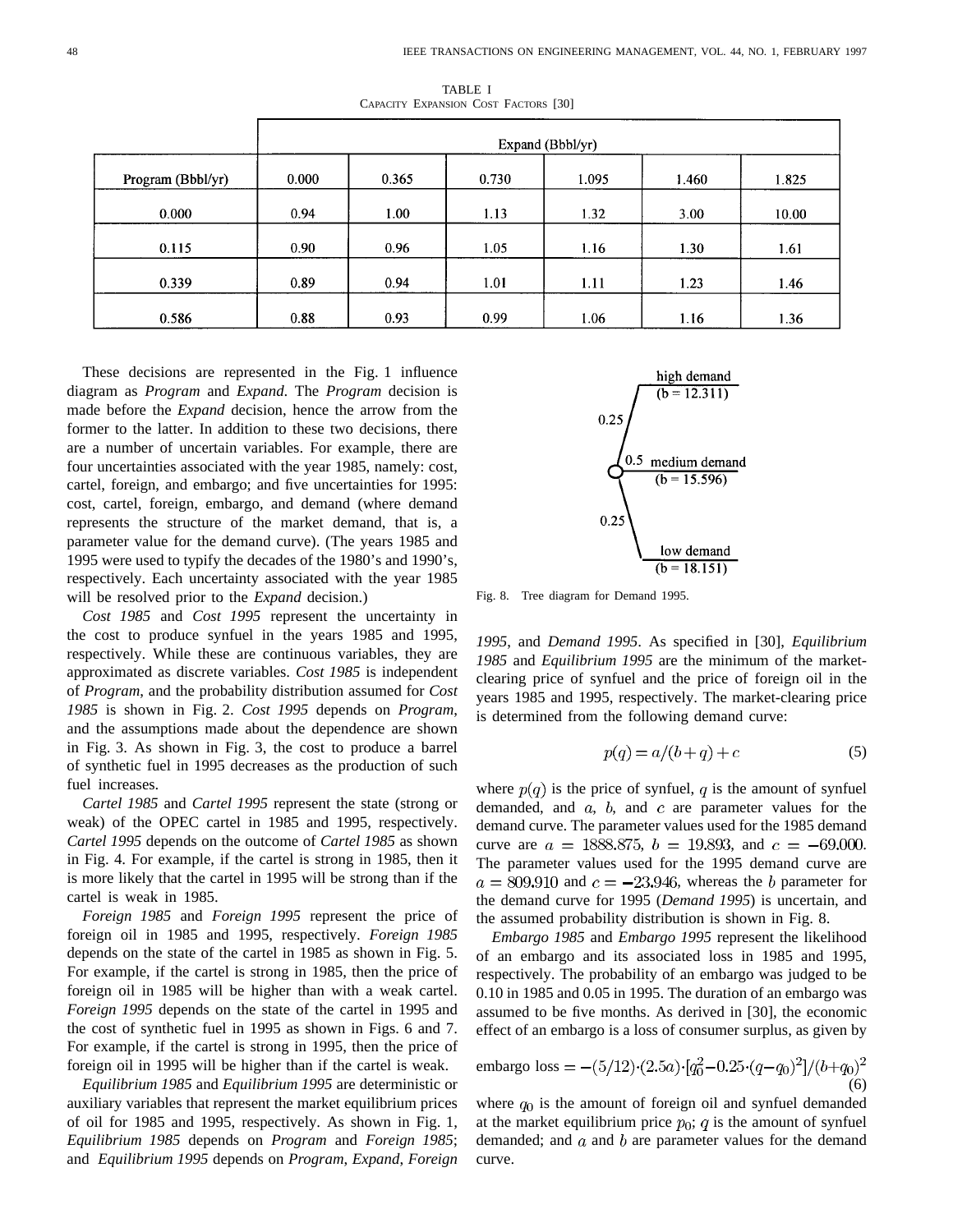|                   | Expand (Bbbl/yr) |       |       |       |       |       |  |  |
|-------------------|------------------|-------|-------|-------|-------|-------|--|--|
| Program (Bbbl/yr) | 0.000            | 0.365 | 0.730 | 1.095 | 1.460 | 1.825 |  |  |
| 0.000             | 0.94             | 1.00  | 1.13  | 1.32  | 3.00  | 10.00 |  |  |
| 0.115             | 0.90             | 0.96  | 1.05  | 1.16  | 1.30  | 1.61  |  |  |
| 0.339             | 0.89             | 0.94  | 1.01  | 1.11  | 1.23  | 1.46  |  |  |
| 0.586             | 0.88             | 0.93  | 0.99  | 1.06  | 1.16  | 1.36  |  |  |

TABLE I CAPACITY EXPANSION COST FACTORS [30]

These decisions are represented in the Fig. 1 influence diagram as *Program* and *Expand*. The *Program* decision is made before the *Expand* decision, hence the arrow from the former to the latter. In addition to these two decisions, there are a number of uncertain variables. For example, there are four uncertainties associated with the year 1985, namely: cost, cartel, foreign, and embargo; and five uncertainties for 1995: cost, cartel, foreign, embargo, and demand (where demand represents the structure of the market demand, that is, a parameter value for the demand curve). (The years 1985 and 1995 were used to typify the decades of the 1980's and 1990's, respectively. Each uncertainty associated with the year 1985 will be resolved prior to the *Expand* decision.)

*Cost 1985* and *Cost 1995* represent the uncertainty in the cost to produce synfuel in the years 1985 and 1995, respectively. While these are continuous variables, they are approximated as discrete variables. *Cost 1985* is independent of *Program*, and the probability distribution assumed for *Cost 1985* is shown in Fig. 2. *Cost 1995* depends on *Program*, and the assumptions made about the dependence are shown in Fig. 3. As shown in Fig. 3, the cost to produce a barrel of synthetic fuel in 1995 decreases as the production of such fuel increases.

*Cartel 1985* and *Cartel 1995* represent the state (strong or weak) of the OPEC cartel in 1985 and 1995, respectively. *Cartel 1995* depends on the outcome of *Cartel 1985* as shown in Fig. 4. For example, if the cartel is strong in 1985, then it is more likely that the cartel in 1995 will be strong than if the cartel is weak in 1985.

*Foreign 1985* and *Foreign 1995* represent the price of foreign oil in 1985 and 1995, respectively. *Foreign 1985* depends on the state of the cartel in 1985 as shown in Fig. 5. For example, if the cartel is strong in 1985, then the price of foreign oil in 1985 will be higher than with a weak cartel. *Foreign 1995* depends on the state of the cartel in 1995 and the cost of synthetic fuel in 1995 as shown in Figs. 6 and 7. For example, if the cartel is strong in 1995, then the price of foreign oil in 1995 will be higher than if the cartel is weak.

*Equilibrium 1985* and *Equilibrium 1995* are deterministic or auxiliary variables that represent the market equilibrium prices of oil for 1985 and 1995, respectively. As shown in Fig. 1, *Equilibrium 1985* depends on *Program* and *Foreign 1985*; and *Equilibrium 1995* depends on *Program*, *Expand*, *Foreign*



Fig. 8. Tree diagram for Demand 1995.

*1995*, and *Demand 1995*. As specified in [30], *Equilibrium 1985* and *Equilibrium 1995* are the minimum of the marketclearing price of synfuel and the price of foreign oil in the years 1985 and 1995, respectively. The market-clearing price is determined from the following demand curve:

$$
p(q) = a/(b+q) + c \tag{5}
$$

where  $p(q)$  is the price of synfuel, q is the amount of synfuel demanded, and  $a$ ,  $b$ , and  $c$  are parameter values for the demand curve. The parameter values used for the 1985 demand curve are  $a = 1888.875$ ,  $b = 19.893$ , and  $c = -69.000$ . The parameter values used for the 1995 demand curve are  $a = 809.910$  and  $c = -23.946$ , whereas the b parameter for the demand curve for 1995 (*Demand 1995*) is uncertain, and the assumed probability distribution is shown in Fig. 8.

*Embargo 1985* and *Embargo 1995* represent the likelihood of an embargo and its associated loss in 1985 and 1995, respectively. The probability of an embargo was judged to be 0.10 in 1985 and 0.05 in 1995. The duration of an embargo was assumed to be five months. As derived in [30], the economic effect of an embargo is a loss of consumer surplus, as given by

embargo loss = 
$$
-(5/12) \cdot (2.5a) \cdot [q_0^2 - 0.25 \cdot (q - q_0)^2]/(b + q_0)^2
$$
 (6)

where  $q_0$  is the amount of foreign oil and synfuel demanded at the market equilibrium price  $p_0$ ; q is the amount of synfuel demanded; and  $a$  and  $b$  are parameter values for the demand curve.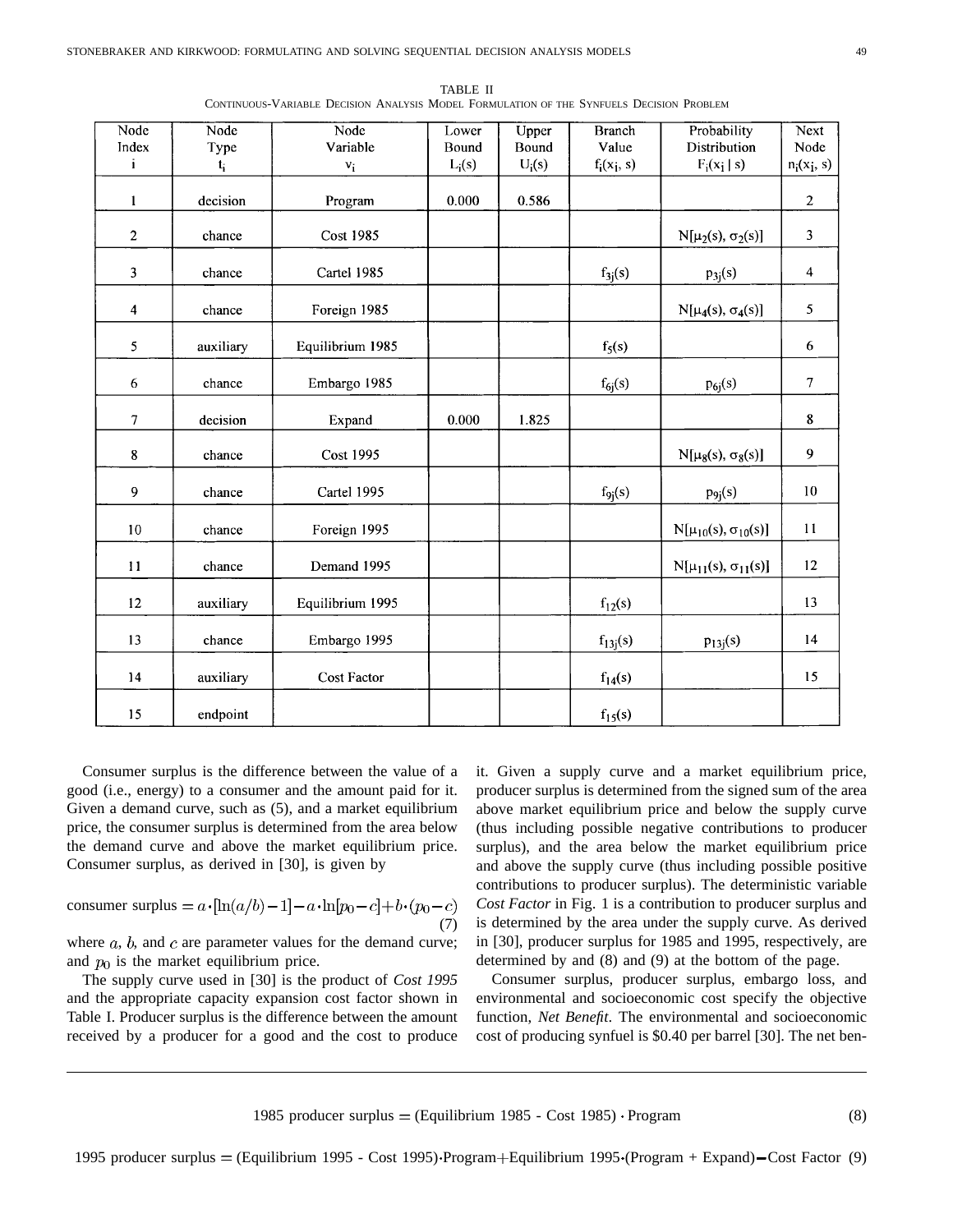| Node                    | Node           | Node               | Lower    | Upper    | <b>Branch</b> | Probability                               | Next           |
|-------------------------|----------------|--------------------|----------|----------|---------------|-------------------------------------------|----------------|
| Index                   | Type           | Variable           | Bound    | Bound    | Value         | Distribution                              | Node           |
| i                       | $\mathbf{t_i}$ | $\mathbf{v_i}$     | $L_i(s)$ | $U_i(s)$ | $f_i(x_i, s)$ | $F_i(x_i \mid s)$                         | $n_i(x_i, s)$  |
|                         |                |                    |          |          |               |                                           |                |
| $\mathbf{1}$            | decision       | Program            | 0.000    | 0.586    |               |                                           | $\overline{2}$ |
|                         |                |                    |          |          |               |                                           |                |
| $\overline{c}$          | chance         | <b>Cost 1985</b>   |          |          |               | N[μ <sub>2</sub> (s), σ <sub>2</sub> (s)] | 3              |
|                         |                |                    |          |          |               |                                           |                |
| 3                       | chance         | Cartel 1985        |          |          | $f_{3j}(s)$   | $p_{3j}(s)$                               | $\overline{4}$ |
|                         |                |                    |          |          |               |                                           |                |
| $\overline{\mathbf{4}}$ | chance         | Foreign 1985       |          |          |               | N[µ <sub>4</sub> (s), σ <sub>4</sub> (s)] | 5              |
|                         |                |                    |          |          |               |                                           |                |
| $5\overline{)}$         | auxiliary      | Equilibrium 1985   |          |          | $f_5(s)$      |                                           | 6              |
|                         |                |                    |          |          |               |                                           |                |
| 6<br>chance             |                | Embargo 1985       |          |          | $f_{6j}(s)$   | $p_{6j}(s)$                               | $\overline{7}$ |
|                         |                |                    |          |          |               |                                           |                |
| 7                       | decision       | Expand             | 0.000    | 1.825    |               |                                           | $\bf 8$        |
|                         |                |                    |          |          |               |                                           |                |
| 8                       | chance         | <b>Cost 1995</b>   |          |          |               | $N[\mu_8(s), \sigma_8(s)]$                | 9              |
|                         |                |                    |          |          |               |                                           |                |
| 9                       | chance         | Cartel 1995        |          |          | $f_{9i}(s)$   | $p_{9j}(s)$                               | 10             |
|                         |                |                    |          |          |               |                                           |                |
| 10                      | chance         | Foreign 1995       |          |          |               | $N[\mu_{10}(s), \sigma_{10}(s)]$          | 11             |
|                         |                |                    |          |          |               |                                           |                |
| 11                      | chance         | Demand 1995        |          |          |               | $N[\mu_{11}(s), \sigma_{11}(s)]$          | 12             |
|                         |                |                    |          |          |               |                                           |                |
| 12                      | auxiliary      | Equilibrium 1995   |          |          | $f_{12}(s)$   |                                           | 13             |
|                         |                |                    |          |          |               |                                           |                |
| 13                      | chance         | Embargo 1995       |          |          | $f_{13j}(s)$  | $p_{13j}(s)$                              | 14             |
|                         |                |                    |          |          |               |                                           |                |
| 14                      | auxiliary      | <b>Cost Factor</b> |          |          | $f_{14}(s)$   |                                           | 15             |
|                         |                |                    |          |          |               |                                           |                |
| 15                      | endpoint       |                    |          |          | $f_1$ s(s)    |                                           |                |

TABLE II CONTINUOUS-VARIABLE DECISION ANALYSIS MODEL FORMULATION OF THE SYNFUELS DECISION PROBLEM

Consumer surplus is the difference between the value of a good (i.e., energy) to a consumer and the amount paid for it. Given a demand curve, such as (5), and a market equilibrium price, the consumer surplus is determined from the area below the demand curve and above the market equilibrium price. Consumer surplus, as derived in [30], is given by

consumer surplus =  $a \cdot [\ln(a/b) - 1] - a \cdot \ln[p_0 - c] + b \cdot (p_0 - c)$ (7)

where  $a, b$ , and  $c$  are parameter values for the demand curve; and  $p_0$  is the market equilibrium price.

The supply curve used in [30] is the product of *Cost 1995* and the appropriate capacity expansion cost factor shown in Table I. Producer surplus is the difference between the amount received by a producer for a good and the cost to produce

it. Given a supply curve and a market equilibrium price, producer surplus is determined from the signed sum of the area above market equilibrium price and below the supply curve (thus including possible negative contributions to producer surplus), and the area below the market equilibrium price and above the supply curve (thus including possible positive contributions to producer surplus). The deterministic variable *Cost Factor* in Fig. 1 is a contribution to producer surplus and is determined by the area under the supply curve. As derived in [30], producer surplus for 1985 and 1995, respectively, are determined by and (8) and (9) at the bottom of the page.

Consumer surplus, producer surplus, embargo loss, and environmental and socioeconomic cost specify the objective function, *Net Benefit*. The environmental and socioeconomic cost of producing synfuel is \$0.40 per barrel [30]. The net ben-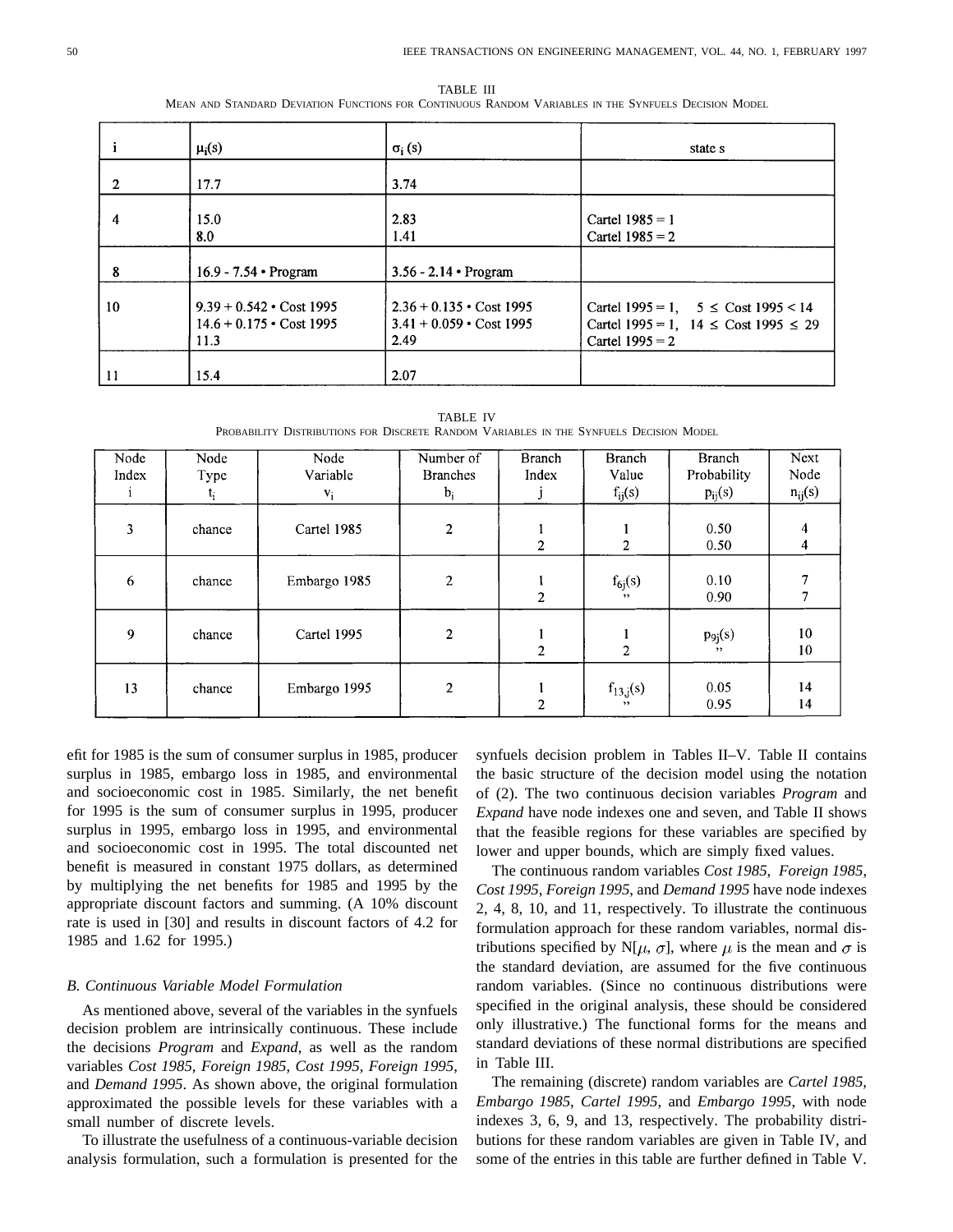TABLE III MEAN AND STANDARD DEVIATION FUNCTIONS FOR CONTINUOUS RANDOM VARIABLES IN THE SYNFUELS DECISION MODEL

|    | $\mu_i(s)$                                                                      | $\sigma_i(s)$                                                                          | state s                                                                                                      |
|----|---------------------------------------------------------------------------------|----------------------------------------------------------------------------------------|--------------------------------------------------------------------------------------------------------------|
| 2  | 17.7                                                                            | 3.74                                                                                   |                                                                                                              |
|    | 15.0<br>8.0                                                                     | 2.83<br>1.41                                                                           | Cartel $1985 = 1$<br>Cartel $1985 = 2$                                                                       |
| 8  | $16.9 - 7.54$ • Program                                                         | 3.56 - 2.14 • Program                                                                  |                                                                                                              |
| 10 | $9.39 + 0.542 \cdot \text{Cost}$ 1995<br>$14.6 + 0.175 \cdot Cost 1995$<br>11.3 | $2.36 + 0.135 \cdot \text{Cost}$ 1995<br>$3.41 + 0.059 \cdot \text{Cost}$ 1995<br>2.49 | Cartel 1995 = 1, $5 \le$ Cost 1995 < 14<br>Cartel 1995 = 1, $14 \le$ Cost 1995 $\le$ 29<br>Cartel $1995 = 2$ |
| 11 | 15.4                                                                            | 2.07                                                                                   |                                                                                                              |

TABLE IV PROBABILITY DISTRIBUTIONS FOR DISCRETE RANDOM VARIABLES IN THE SYNFUELS DECISION MODEL

| Node<br>Index | Node<br>Type   | Node<br>Variable | Number of<br><b>Branches</b> | <b>Branch</b><br>Index | <b>Branch</b><br>Value | Branch<br>Probability | Next<br>Node |
|---------------|----------------|------------------|------------------------------|------------------------|------------------------|-----------------------|--------------|
|               | t <sub>i</sub> | $v_i$            | $b_i$                        |                        | $f_{ij}(s)$            | $p_{ij}(s)$           | $n_{ij}(s)$  |
| 3             | chance         | Cartel 1985      | $\overline{2}$               | $\overline{2}$         | $\overline{2}$         | 0.50<br>0.50          | 4<br>4       |
| 6             | chance         | Embargo 1985     | $\overline{2}$               | 2                      | $f_{6j}(s)$<br>,       | 0.10<br>0.90          |              |
| 9             | chance         | Cartel 1995      | $\overline{2}$               | $\overline{2}$         | $\overline{c}$         | $p_{9j}(s)$<br>,      | 10<br>10     |
| 13            | chance         | Embargo 1995     | $\overline{2}$               | 2                      | $f_{13,j}(s)$<br>55    | 0.05<br>0.95          | 14<br>14     |

efit for 1985 is the sum of consumer surplus in 1985, producer surplus in 1985, embargo loss in 1985, and environmental and socioeconomic cost in 1985. Similarly, the net benefit for 1995 is the sum of consumer surplus in 1995, producer surplus in 1995, embargo loss in 1995, and environmental and socioeconomic cost in 1995. The total discounted net benefit is measured in constant 1975 dollars, as determined by multiplying the net benefits for 1985 and 1995 by the appropriate discount factors and summing. (A 10% discount rate is used in [30] and results in discount factors of 4.2 for 1985 and 1.62 for 1995.)

## *B. Continuous Variable Model Formulation*

As mentioned above, several of the variables in the synfuels decision problem are intrinsically continuous. These include the decisions *Program* and *Expand*, as well as the random variables *Cost 1985*, *Foreign 1985*, *Cost 1995*, *Foreign 1995*, and *Demand 1995*. As shown above, the original formulation approximated the possible levels for these variables with a small number of discrete levels.

To illustrate the usefulness of a continuous-variable decision analysis formulation, such a formulation is presented for the synfuels decision problem in Tables II–V. Table II contains the basic structure of the decision model using the notation of (2). The two continuous decision variables *Program* and *Expand* have node indexes one and seven, and Table II shows that the feasible regions for these variables are specified by lower and upper bounds, which are simply fixed values.

The continuous random variables *Cost 1985*, *Foreign 1985*, *Cost 1995*, *Foreign 1995*, and *Demand 1995* have node indexes 2, 4, 8, 10, and 11, respectively. To illustrate the continuous formulation approach for these random variables, normal distributions specified by N[ $\mu$ ,  $\sigma$ ], where  $\mu$  is the mean and  $\sigma$  is the standard deviation, are assumed for the five continuous random variables. (Since no continuous distributions were specified in the original analysis, these should be considered only illustrative.) The functional forms for the means and standard deviations of these normal distributions are specified in Table III.

The remaining (discrete) random variables are *Cartel 1985*, *Embargo 1985*, *Cartel 1995*, and *Embargo 1995*, with node indexes 3, 6, 9, and 13, respectively. The probability distributions for these random variables are given in Table IV, and some of the entries in this table are further defined in Table V.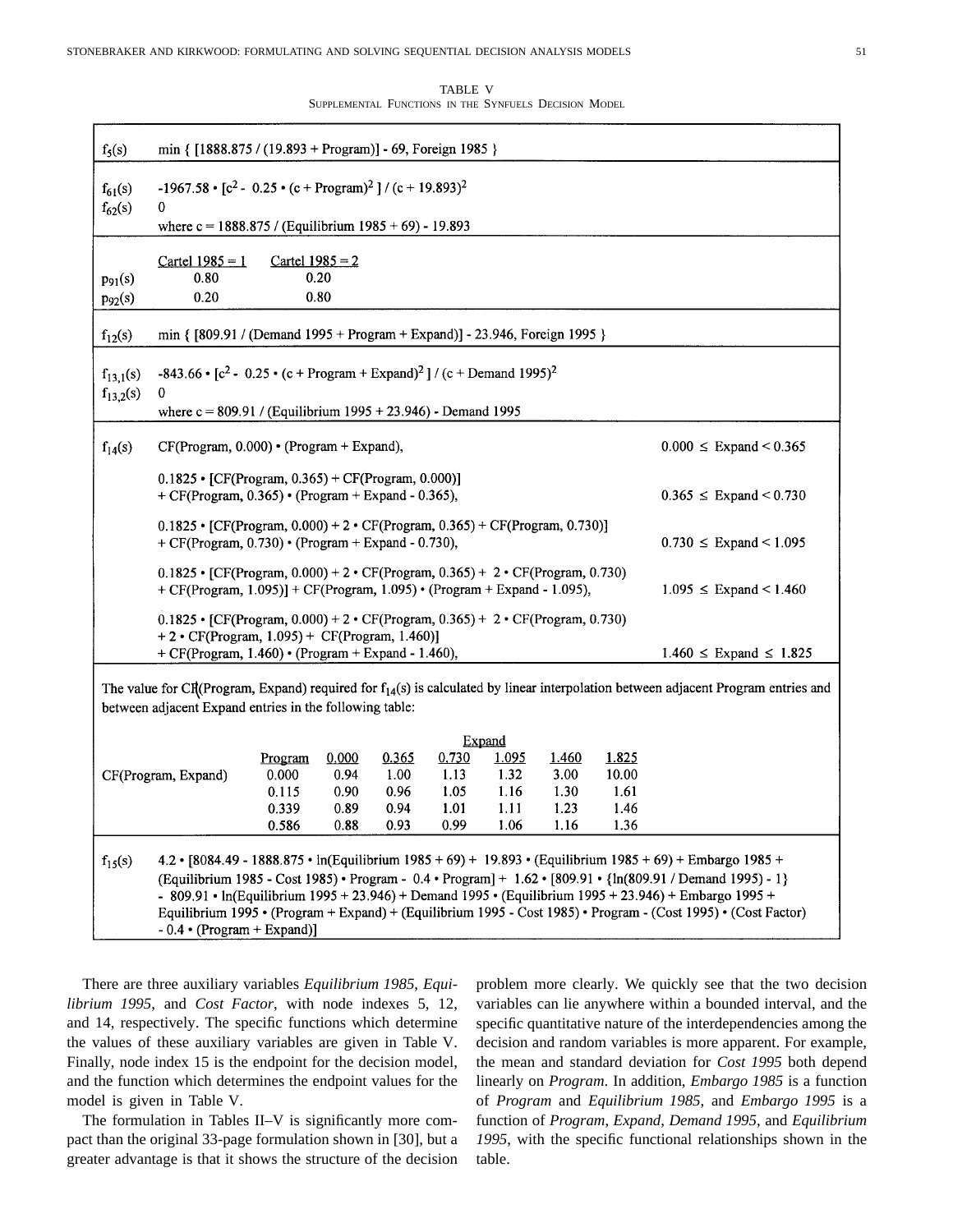| I<br>× |  |
|--------|--|
|        |  |

|                                                       | TABLE V |  |  |
|-------------------------------------------------------|---------|--|--|
| SUPPLEMENTAL FUNCTIONS IN THE SYNFUELS DECISION MODEL |         |  |  |

| $f_5(s)$                                                                                                                                                                                                                                                                                                                                                                                                                                                                                                 | min { [1888.875 / (19.893 + Program)] - 69, Foreign 1985 }                                                                                                                                            |                                             |                                       |                                       |                                       |                                       |                                       |                                        |                                                                                                                                     |
|----------------------------------------------------------------------------------------------------------------------------------------------------------------------------------------------------------------------------------------------------------------------------------------------------------------------------------------------------------------------------------------------------------------------------------------------------------------------------------------------------------|-------------------------------------------------------------------------------------------------------------------------------------------------------------------------------------------------------|---------------------------------------------|---------------------------------------|---------------------------------------|---------------------------------------|---------------------------------------|---------------------------------------|----------------------------------------|-------------------------------------------------------------------------------------------------------------------------------------|
| $f_{61}(s)$<br>$f_{62}(s)$                                                                                                                                                                                                                                                                                                                                                                                                                                                                               | -1967.58 • $[c^2 - 0.25 \cdot (c + Program)^2]/(c + 19.893)^2$<br>0<br>where $c = 1888.875$ / (Equilibrium 1985 + 69) - 19.893                                                                        |                                             |                                       |                                       |                                       |                                       |                                       |                                        |                                                                                                                                     |
| $p_{91}(s)$<br>$p_{92}(s)$                                                                                                                                                                                                                                                                                                                                                                                                                                                                               | Cartel $1985 = 2$<br>Cartel $1985 = 1$<br>0.20<br>0.80<br>0.20<br>0.80                                                                                                                                |                                             |                                       |                                       |                                       |                                       |                                       |                                        |                                                                                                                                     |
| $f_{12}(s)$                                                                                                                                                                                                                                                                                                                                                                                                                                                                                              | min { $[809.91 / (Demand 1995 + Program + Expand)] - 23.946$ , Foreign 1995 }                                                                                                                         |                                             |                                       |                                       |                                       |                                       |                                       |                                        |                                                                                                                                     |
| $f_{13,1}(s)$<br>$f_{13,2}(s)$                                                                                                                                                                                                                                                                                                                                                                                                                                                                           | -843.66 • $[c^2 - 0.25 \cdot (c + Program + Expand)^2] / (c + Demand 1995)^2$<br>$\Omega$<br>where $c = 809.91$ / (Equilibrium 1995 + 23.946) - Demand 1995                                           |                                             |                                       |                                       |                                       |                                       |                                       |                                        |                                                                                                                                     |
| $f_{14}(s)$                                                                                                                                                                                                                                                                                                                                                                                                                                                                                              | $CF(Program, 0.000) \cdot (Program + Expand),$                                                                                                                                                        |                                             |                                       |                                       |                                       |                                       |                                       |                                        | $0.000 \le$ Expand < 0.365                                                                                                          |
|                                                                                                                                                                                                                                                                                                                                                                                                                                                                                                          | $0.1825 \cdot [CF(Program, 0.365) + CF(Program, 0.000)]$<br>$0.365 \le$ Expand < 0.730<br>+ CF(Program, $0.365$ ) • (Program + Expand - 0.365),                                                       |                                             |                                       |                                       |                                       |                                       |                                       |                                        |                                                                                                                                     |
|                                                                                                                                                                                                                                                                                                                                                                                                                                                                                                          | $0.1825 \cdot [CF(Program, 0.000) + 2 \cdot CF(Program, 0.365) + CF(Program, 0.730)]$<br>+ CF(Program, $0.730$ ) • (Program + Expand - 0.730),                                                        |                                             |                                       |                                       |                                       |                                       |                                       |                                        | $0.730 \le$ Expand < 1.095                                                                                                          |
|                                                                                                                                                                                                                                                                                                                                                                                                                                                                                                          | $0.1825 \cdot [CF(Program, 0.000) + 2 \cdot CF(Program, 0.365) + 2 \cdot CF(Program, 0.730)]$<br>+ CF(Program, 1.095)] + CF(Program, 1.095) • (Program + Expand - 1.095),                             |                                             |                                       |                                       |                                       |                                       |                                       |                                        | $1.095 \le$ Expand < 1.460                                                                                                          |
|                                                                                                                                                                                                                                                                                                                                                                                                                                                                                                          | $0.1825 \cdot [CF(Program, 0.000) + 2 \cdot CF(Program, 0.365) + 2 \cdot CF(Program, 0.730)]$<br>+ 2 · CF(Program, 1.095) + CF(Program, 1.460)]<br>+ CF(Program, 1.460) • (Program + Expand - 1.460), |                                             |                                       |                                       |                                       |                                       |                                       |                                        | $1.460 \le$ Expand $\le 1.825$                                                                                                      |
|                                                                                                                                                                                                                                                                                                                                                                                                                                                                                                          | between adjacent Expand entries in the following table:                                                                                                                                               |                                             |                                       |                                       |                                       |                                       |                                       |                                        | The value for CR(Program, Expand) required for $f_1(1s)$ is calculated by linear interpolation between adjacent Program entries and |
|                                                                                                                                                                                                                                                                                                                                                                                                                                                                                                          |                                                                                                                                                                                                       |                                             |                                       |                                       |                                       | Expand                                |                                       |                                        |                                                                                                                                     |
|                                                                                                                                                                                                                                                                                                                                                                                                                                                                                                          | CF(Program, Expand)                                                                                                                                                                                   | Program<br>0.000<br>0.115<br>0.339<br>0.586 | 0.000<br>0.94<br>0.90<br>0.89<br>0.88 | 0.365<br>1.00<br>0.96<br>0.94<br>0.93 | 0.730<br>1.13<br>1.05<br>1.01<br>0.99 | 1.095<br>1.32<br>1.16<br>1.11<br>1.06 | 1.460<br>3.00<br>1.30<br>1.23<br>1.16 | 1.825<br>10.00<br>1.61<br>1.46<br>1.36 |                                                                                                                                     |
| 4.2 • [8084.49 - 1888.875 • ln(Equilibrium 1985 + 69) + 19.893 • (Equilibrium 1985 + 69) + Embargo 1985 +<br>$f_{15}(s)$<br>(Equilibrium 1985 - Cost 1985) • Program - 0.4 • Program] + 1.62 • [809.91 • { $ln(809.91 / Demand 1995) - 1$ }<br>- 809.91 • $ln(Equilibrium 1995 + 23.946) + Demand 1995$ • (Equilibrium 1995 + 23.946) + Embargo 1995 +<br>Equilibrium 1995 • (Program + Expand) + (Equilibrium 1995 - Cost 1985) • Program - (Cost 1995) • (Cost Factor)<br>$-0.4$ • (Program + Expand)] |                                                                                                                                                                                                       |                                             |                                       |                                       |                                       |                                       |                                       |                                        |                                                                                                                                     |

There are three auxiliary variables *Equilibrium 1985*, *Equilibrium 1995*, and *Cost Factor*, with node indexes 5, 12, and 14, respectively. The specific functions which determine the values of these auxiliary variables are given in Table V. Finally, node index 15 is the endpoint for the decision model, and the function which determines the endpoint values for the model is given in Table V.

The formulation in Tables II–V is significantly more compact than the original 33-page formulation shown in [30], but a greater advantage is that it shows the structure of the decision

problem more clearly. We quickly see that the two decision variables can lie anywhere within a bounded interval, and the specific quantitative nature of the interdependencies among the decision and random variables is more apparent. For example, the mean and standard deviation for *Cost 1995* both depend linearly on *Program*. In addition, *Embargo 1985* is a function of *Program* and *Equilibrium 1985*, and *Embargo 1995* is a function of *Program*, *Expand*, *Demand 1995*, and *Equilibrium 1995*, with the specific functional relationships shown in the table.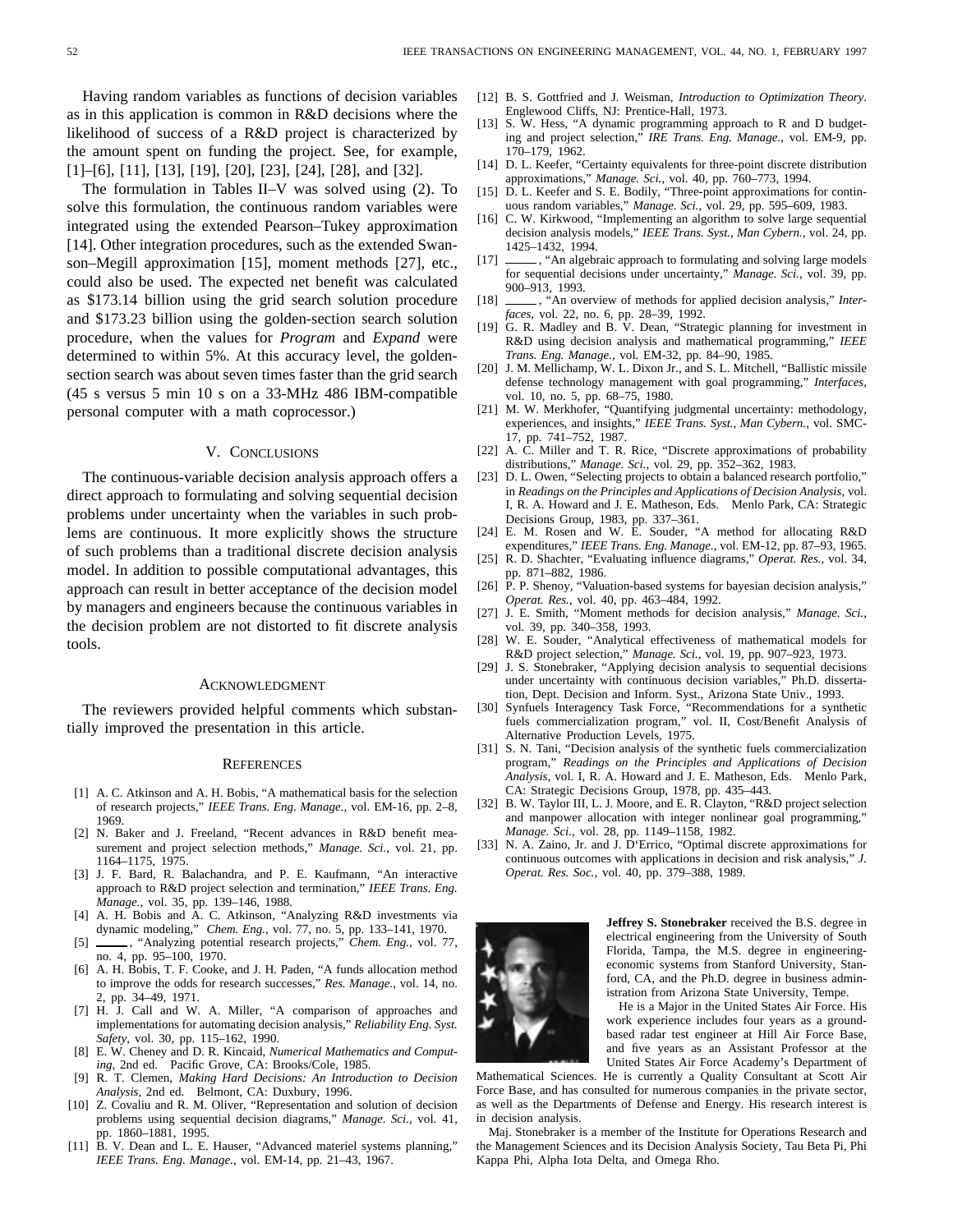Having random variables as functions of decision variables as in this application is common in R&D decisions where the likelihood of success of a R&D project is characterized by the amount spent on funding the project. See, for example, [1]–[6], [11], [13], [19], [20], [23], [24], [28], and [32].

The formulation in Tables II–V was solved using (2). To solve this formulation, the continuous random variables were integrated using the extended Pearson–Tukey approximation [14]. Other integration procedures, such as the extended Swanson–Megill approximation [15], moment methods [27], etc., could also be used. The expected net benefit was calculated as \$173.14 billion using the grid search solution procedure and \$173.23 billion using the golden-section search solution procedure, when the values for *Program* and *Expand* were determined to within 5%. At this accuracy level, the goldensection search was about seven times faster than the grid search (45 s versus 5 min 10 s on a 33-MHz 486 IBM-compatible personal computer with a math coprocessor.)

## V. CONCLUSIONS

The continuous-variable decision analysis approach offers a direct approach to formulating and solving sequential decision problems under uncertainty when the variables in such problems are continuous. It more explicitly shows the structure of such problems than a traditional discrete decision analysis model. In addition to possible computational advantages, this approach can result in better acceptance of the decision model by managers and engineers because the continuous variables in the decision problem are not distorted to fit discrete analysis tools.

### ACKNOWLEDGMENT

The reviewers provided helpful comments which substantially improved the presentation in this article.

#### **REFERENCES**

- [1] A. C. Atkinson and A. H. Bobis, "A mathematical basis for the selection of research projects," *IEEE Trans. Eng. Manage.*, vol. EM-16, pp. 2–8, 1969.
- [2] N. Baker and J. Freeland, "Recent advances in R&D benefit measurement and project selection methods," *Manage. Sci.*, vol. 21, pp. 1164–1175, 1975.
- [3] J. F. Bard, R. Balachandra, and P. E. Kaufmann, "An interactive approach to R&D project selection and termination," *IEEE Trans. Eng. Manage.*, vol. 35, pp. 139–146, 1988.
- [4] A. H. Bobis and A. C. Atkinson, "Analyzing R&D investments via dynamic modeling," *Chem. Eng.*, vol. 77, no. 5, pp. 133–141, 1970.
- [5]  $\_\_\_\$ , "Analyzing potential research projects," *Chem. Eng.*, vol. 77, no. 4, pp. 95–100, 1970.
- [6] A. H. Bobis, T. F. Cooke, and J. H. Paden, "A funds allocation method to improve the odds for research successes," *Res. Manage.*, vol. 14, no. 2, pp. 34–49, 1971.
- [7] H. J. Call and W. A. Miller, "A comparison of approaches and implementations for automating decision analysis," *Reliability Eng. Syst. Safety*, vol. 30, pp. 115–162, 1990.
- [8] E. W. Cheney and D. R. Kincaid, *Numerical Mathematics and Computing*, 2nd ed. Pacific Grove, CA: Brooks/Cole, 1985.
- [9] R. T. Clemen, *Making Hard Decisions: An Introduction to Decision Analysis*, 2nd ed. Belmont, CA: Duxbury, 1996.
- [10] Z. Covaliu and R. M. Oliver, "Representation and solution of decision problems using sequential decision diagrams," *Manage. Sci.*, vol. 41, pp. 1860–1881, 1995.
- [11] B. V. Dean and L. E. Hauser, "Advanced materiel systems planning," *IEEE Trans. Eng. Manage.*, vol. EM-14, pp. 21–43, 1967.
- [12] B. S. Gottfried and J. Weisman, *Introduction to Optimization Theory*. Englewood Cliffs, NJ: Prentice-Hall, 1973.
- [13] S. W. Hess, "A dynamic programming approach to R and D budgeting and project selection," *IRE Trans. Eng. Manage.*, vol. EM-9, pp. 170–179, 1962.
- [14] D. L. Keefer, "Certainty equivalents for three-point discrete distribution approximations," *Manage. Sci.*, vol. 40, pp. 760–773, 1994.
- [15] D. L. Keefer and S. E. Bodily, "Three-point approximations for continuous random variables," *Manage. Sci.*, vol. 29, pp. 595–609, 1983.
- [16] C. W. Kirkwood, "Implementing an algorithm to solve large sequential decision analysis models," *IEEE Trans. Syst., Man Cybern.*, vol. 24, pp. 1425–1432, 1994.
- [17] \_\_\_\_, "An algebraic approach to formulating and solving large models for sequential decisions under uncertainty," *Manage. Sci.*, vol. 39, pp. 900–913, 1993.
- [18]  $\_\_\_\$ , "An overview of methods for applied decision analysis," *Interfaces*, vol. 22, no. 6, pp. 28–39, 1992.
- [19] G. R. Madley and B. V. Dean, "Strategic planning for investment in R&D using decision analysis and mathematical programming," *IEEE Trans. Eng. Manage.*, vol. EM-32, pp. 84–90, 1985.
- [20] J. M. Mellichamp, W. L. Dixon Jr., and S. L. Mitchell, "Ballistic missile defense technology management with goal programming," *Interfaces*, vol. 10, no. 5, pp. 68–75, 1980.
- [21] M. W. Merkhofer, "Quantifying judgmental uncertainty: methodology, experiences, and insights," *IEEE Trans. Syst., Man Cybern.*, vol. SMC-17, pp. 741–752, 1987.
- [22] A. C. Miller and T. R. Rice, "Discrete approximations of probability distributions," *Manage. Sci.*, vol. 29, pp. 352–362, 1983.
- [23] D. L. Owen, "Selecting projects to obtain a balanced research portfolio," in *Readings on the Principles and Applications of Decision Analysis*, vol. I, R. A. Howard and J. E. Matheson, Eds. Menlo Park, CA: Strategic Decisions Group, 1983, pp. 337–361.
- [24] E. M. Rosen and W. E. Souder, "A method for allocating R&D expenditures," *IEEE Trans. Eng. Manage.*, vol. EM-12, pp. 87–93, 1965.
- [25] R. D. Shachter, "Evaluating influence diagrams," *Operat. Res.*, vol. 34, pp. 871–882, 1986.
- [26] P. P. Shenoy, "Valuation-based systems for bayesian decision analysis," *Operat. Res.*, vol. 40, pp. 463–484, 1992.
- [27] J. E. Smith, "Moment methods for decision analysis," *Manage. Sci.*, vol. 39, pp. 340–358, 1993.
- [28] W. E. Souder, "Analytical effectiveness of mathematical models for R&D project selection," *Manage. Sci.*, vol. 19, pp. 907–923, 1973.
- [29] J. S. Stonebraker, "Applying decision analysis to sequential decisions under uncertainty with continuous decision variables," Ph.D. dissertation, Dept. Decision and Inform. Syst., Arizona State Univ., 1993.
- [30] Synfuels Interagency Task Force, "Recommendations for a synthetic fuels commercialization program," vol. II, Cost/Benefit Analysis of Alternative Production Levels, 1975.
- [31] S. N. Tani, "Decision analysis of the synthetic fuels commercialization program," *Readings on the Principles and Applications of Decision Analysis*, vol. I, R. A. Howard and J. E. Matheson, Eds. Menlo Park, CA: Strategic Decisions Group, 1978, pp. 435–443.
- [32] B. W. Taylor III, L. J. Moore, and E. R. Clayton, "R&D project selection and manpower allocation with integer nonlinear goal programming," *Manage. Sci.*, vol. 28, pp. 1149–1158, 1982.
- [33] N. A. Zaino, Jr. and J. D'Errico, "Optimal discrete approximations for continuous outcomes with applications in decision and risk analysis," *J. Operat. Res. Soc.*, vol. 40, pp. 379–388, 1989.



**Jeffrey S. Stonebraker** received the B.S. degree in electrical engineering from the University of South Florida, Tampa, the M.S. degree in engineeringeconomic systems from Stanford University, Stanford, CA, and the Ph.D. degree in business administration from Arizona State University, Tempe.

He is a Major in the United States Air Force. His work experience includes four years as a groundbased radar test engineer at Hill Air Force Base, and five years as an Assistant Professor at the United States Air Force Academy's Department of

Mathematical Sciences. He is currently a Quality Consultant at Scott Air Force Base, and has consulted for numerous companies in the private sector, as well as the Departments of Defense and Energy. His research interest is in decision analysis.

Maj. Stonebraker is a member of the Institute for Operations Research and the Management Sciences and its Decision Analysis Society, Tau Beta Pi, Phi Kappa Phi, Alpha Iota Delta, and Omega Rho.